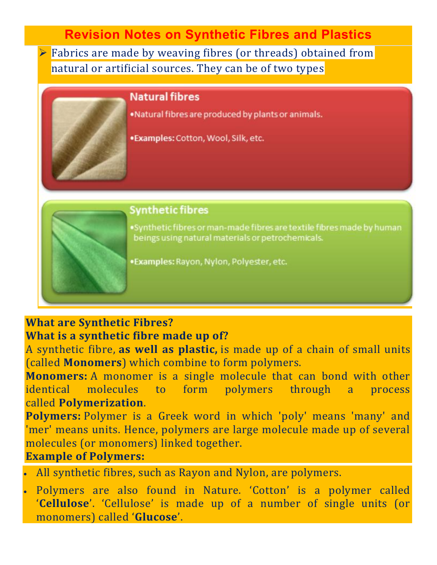**Revision Notes on Synthetic Fibres and Plastics**

**Fabrics are made by weaving fibres (or threads) obtained from** natural or artificial sources. They can be of two types

### **Natural fibres**

. Natural fibres are produced by plants or animals.

·Examples: Cotton, Wool, Silk, etc.

## **Synthetic fibres**

. Synthetic fibres or man-made fibres are textile fibres made by human beings using natural materials or petrochemicals.

·Examples: Rayon, Nylon, Polyester, etc.

### **What are Synthetic Fibres?**

### **What is a synthetic fibre made up of?**

A synthetic fibre, **as well as plastic,** is made up of a chain of small units (called **Monomers**) which combine to form polymers.

**Monomers:** A monomer is a single molecule that can bond with other identical molecules to form polymers through a process called **Polymerization**.

**Polymers:** Polymer is a Greek word in which 'poly' means 'many' and 'mer' means units. Hence, polymers are large molecule made up of several molecules (or monomers) linked together.

### **Example of Polymers:**

- All synthetic fibres, such as Rayon and Nylon, are polymers.
- Polymers are also found in Nature. 'Cotton' is a polymer called '**Cellulose**'. 'Cellulose' is made up of a number of single units (or monomers) called '**Glucose**'.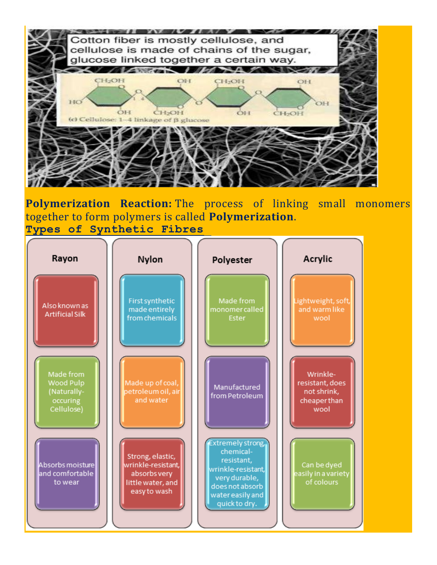

**Polymerization Reaction:** The process of linking small monomers together to form polymers is called **Polymerization**. **Types of Synthetic Fibres**

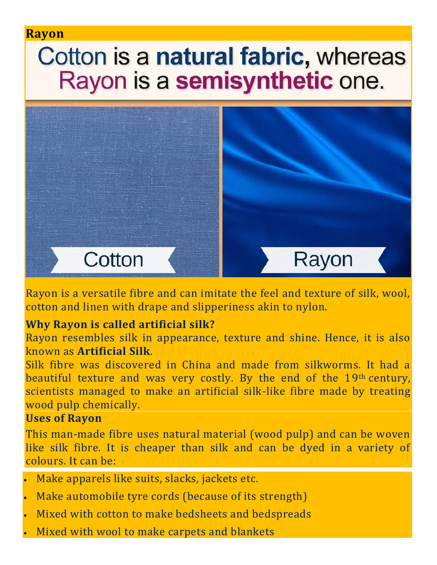### **Rayon**

# Cotton is a natural fabric, whereas Rayon is a semisynthetic one.



Rayon is a versatile fibre and can imitate the feel and texture of silk, wool, cotton and linen with drape and slipperiness akin to nylon.

### **Why Rayon is called artificial silk?**

Rayon resembles silk in appearance, texture and shine. Hence, it is also known as **Artificial Silk**.

Silk fibre was discovered in China and made from silkworms. It had a beautiful texture and was very costly. By the end of the 19th century, scientists managed to make an artificial silk-like fibre made by treating wood pulp chemically.

#### **Uses of Rayon**

This man-made fibre uses natural material (wood pulp) and can be woven like silk fibre. It is cheaper than silk and can be dyed in a variety of colours. It can be:

- Make apparels like suits, slacks, jackets etc.
- Make automobile tyre cords (because of its strength)
- Mixed with cotton to make bedsheets and bedspreads
- Mixed with wool to make carpets and blankets